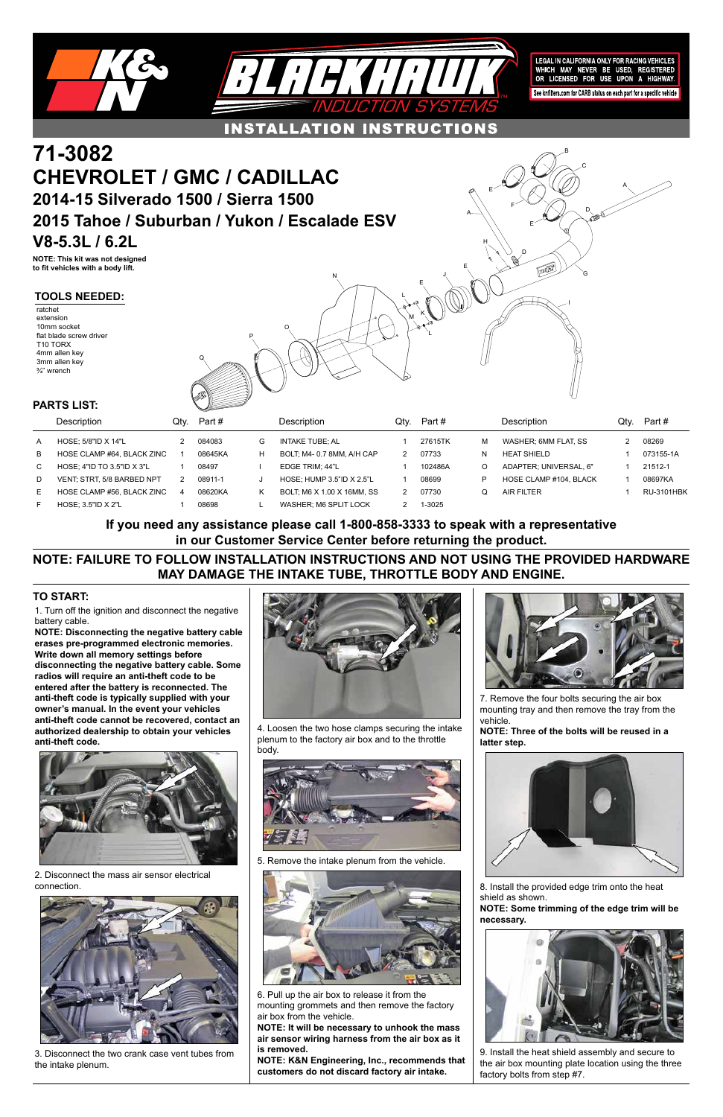Q

P

O

N

E

M

L

L

K

J

E

A

G

E

F

E

D

D



A

H

I

1. Turn off the ignition and disconnect the negative battery cable.

**NOTE: Disconnecting the negative battery cable erases pre-programmed electronic memories. Write down all memory settings before disconnecting the negative battery cable. Some radios will require an anti-theft code to be entered after the battery is reconnected. The anti-theft code is typically supplied with your owner's manual. In the event your vehicles anti-theft code cannot be recovered, contact an authorized dealership to obtain your vehicles anti-theft code.**



## **TO START:**

# **CHEVROLET / GMC / CADILLAC 2014-15 Silverado 1500 / Sierra 1500 2015 Tahoe / Suburban / Yukon / Escalade ESV V8-5.3L / 6.2L**

**NOTE: This kit was not designed to fit vehicles with a body lift.**

|    | PARTS LIST:                  |      | <u>Since the second second in the second second in the second second in the second second in the second second in the second second in the second second in the second second second in the second second second in the second s</u> |   |                            |      |         |   |                        |      |                   |
|----|------------------------------|------|--------------------------------------------------------------------------------------------------------------------------------------------------------------------------------------------------------------------------------------|---|----------------------------|------|---------|---|------------------------|------|-------------------|
|    | Description                  | Qtv. | Part#                                                                                                                                                                                                                                |   | Description                | Qtv. | Part #  |   | Description            | Qtv. | Part #            |
| A  | HOSE: $5/8"$ ID X 14"L       |      | 084083                                                                                                                                                                                                                               | G | INTAKE TUBE: AL            |      | 27615TK | м | WASHER; 6MM FLAT, SS   |      | 08269             |
| B  | HOSE CLAMP #64, BLACK ZINC   |      | 08645KA                                                                                                                                                                                                                              | н | BOLT, M4-0.7 8MM, A/H CAP  |      | 07733   | N | <b>HEAT SHIELD</b>     |      | 073155-1A         |
| C  | HOSE; 4"ID TO 3.5"ID $X$ 3"L |      | 08497                                                                                                                                                                                                                                |   | EDGE TRIM: 44"L            |      | 102486A | O | ADAPTER, UNIVERSAL, 6" |      | 21512-1           |
| D  | VENT: STRT, 5/8 BARBED NPT   |      | 08911-1                                                                                                                                                                                                                              | J | HOSE, HUMP 3.5"ID X 2.5"L  |      | 08699   | P | HOSE CLAMP #104. BLACK |      | 08697KA           |
| E. | HOSE CLAMP #56. BLACK ZINC   |      | 08620KA                                                                                                                                                                                                                              | Κ | BOLT, M6 X 1.00 X 16MM, SS |      | 07730   |   | AIR FILTER             |      | <b>RU-3101HBK</b> |
| F  | HOSE: $3.5$ "ID $X 2$ "L     |      | 08698                                                                                                                                                                                                                                |   | WASHER; M6 SPLIT LOCK      |      | 1-3025  |   |                        |      |                   |

## **TOOLS NEEDED:**

ratchet extension 10mm socket flat blade screw driver T10 TORX 4mm allen key 3mm allen key ¾" wrench

2. Disconnect the mass air sensor electrical connection.



3. Disconnect the two crank case vent tubes from the intake plenum.



4. Loosen the two hose clamps securing the intake plenum to the factory air box and to the throttle body.





5. Remove the intake plenum from the vehicle.



6. Pull up the air box to release it from the mounting grommets and then remove the factory air box from the vehicle.

**NOTE: It will be necessary to unhook the mass air sensor wiring harness from the air box as it is removed.**

**NOTE: K&N Engineering, Inc., recommends that customers do not discard factory air intake.**

7. Remove the four bolts securing the air box mounting tray and then remove the tray from the vehicle.

**NOTE: Three of the bolts will be reused in a latter step.**



8. Install the provided edge trim onto the heat shield as shown.

**NOTE: Some trimming of the edge trim will be necessary.**



9. Install the heat shield assembly and secure to the air box mounting plate location using the three factory bolts from step #7.

## **NOTE: FAILURE TO FOLLOW INSTALLATION INSTRUCTIONS AND NOT USING THE PROVIDED HARDWARE MAY DAMAGE THE INTAKE TUBE, THROTTLE BODY AND ENGINE.**

**If you need any assistance please call 1-800-858-3333 to speak with a representative in our Customer Service Center before returning the product.**